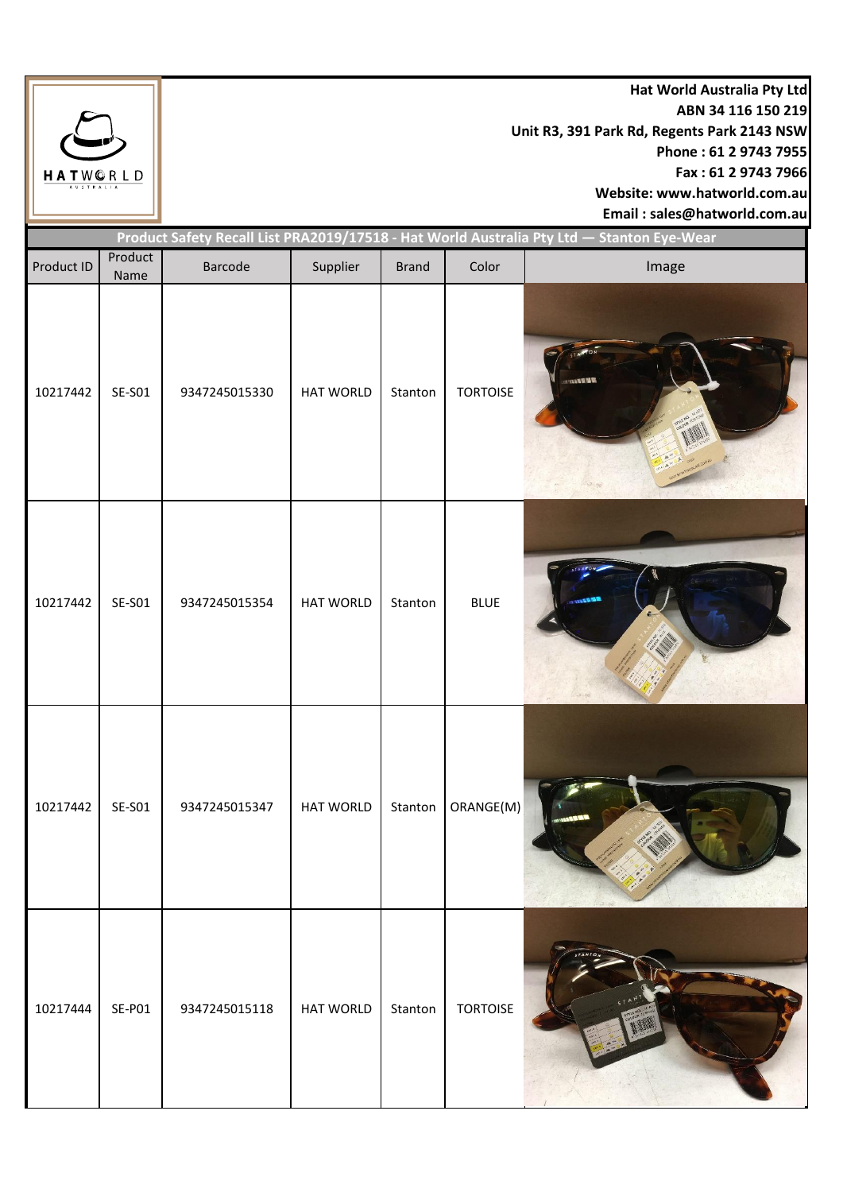

**Hat World Australia Pty Ltd ABN 34 116 150 219 Unit R3, 391 Park Rd, Regents Park 2143 NSW Phone : 61 2 9743 7955 Fax : 61 2 9743 7966 Website: www.hatworld.com.au Email : sales@hatworld.com.au**

Product ID Product Name Barcode | Supplier | Brand | Color | **Image** 10217442 | SE-S01 | 9347245015330 | HAT WORLD | Stanton | TORTOISE 10217442 SE-S01 9347245015354 HAT WORLD Stanton BLUE 10217442 | SE-S01 | 9347245015347 | HAT WORLD | Stanton | ORANGE(M) 10217444 | SE-P01 | 9347245015118 | HAT WORLD | Stanton | TORTOISE **Product Safety Recall List PRA2019/17518 - Hat World Australia Pty Ltd — Stanton Eye-Wear**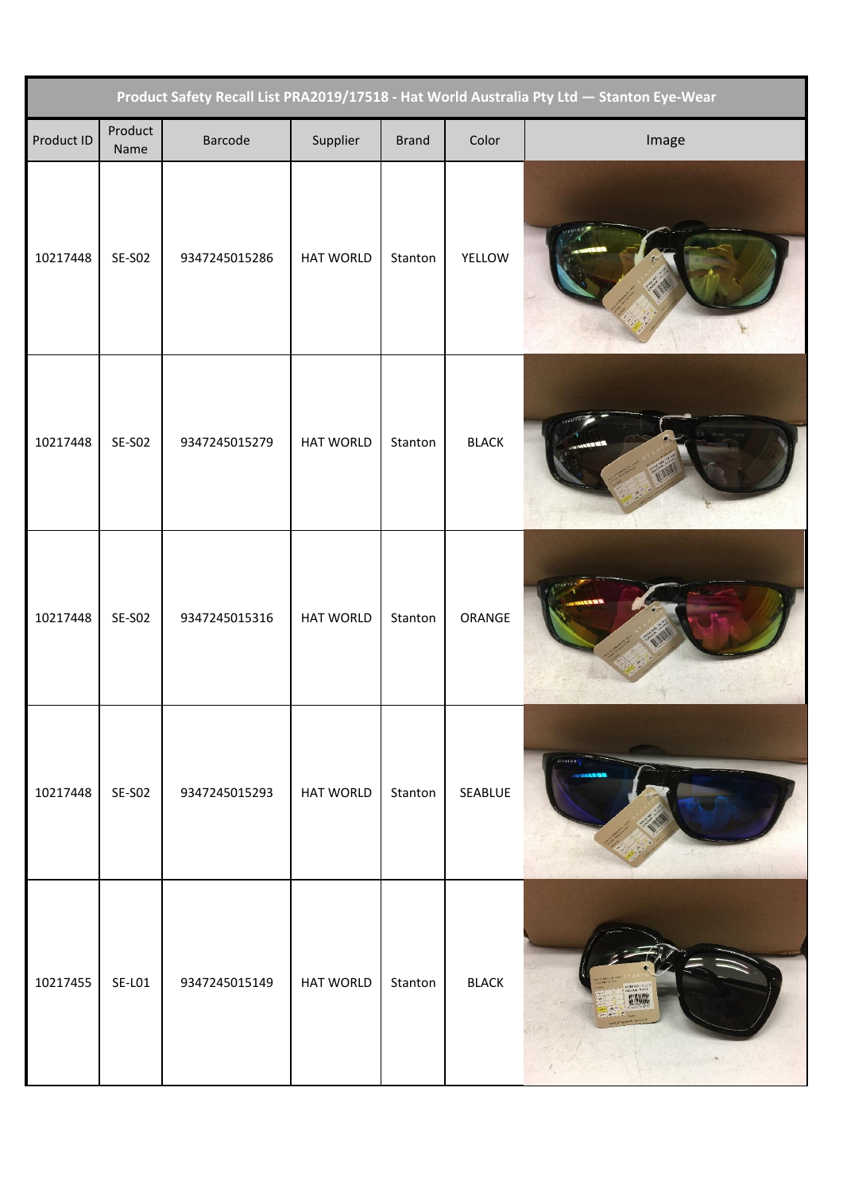| Product Safety Recall List PRA2019/17518 - Hat World Australia Pty Ltd - Stanton Eye-Wear |                 |               |                  |              |              |                |  |
|-------------------------------------------------------------------------------------------|-----------------|---------------|------------------|--------------|--------------|----------------|--|
| Product ID                                                                                | Product<br>Name | Barcode       | Supplier         | <b>Brand</b> | Color        | Image          |  |
| 10217448                                                                                  | <b>SE-SO2</b>   | 9347245015286 | HAT WORLD        | Stanton      | YELLOW       |                |  |
| 10217448                                                                                  | <b>SE-SO2</b>   | 9347245015279 | <b>HAT WORLD</b> | Stanton      | <b>BLACK</b> |                |  |
| 10217448                                                                                  | <b>SE-SO2</b>   | 9347245015316 | HAT WORLD        | Stanton      | ORANGE       |                |  |
| 10217448                                                                                  | SE-SO2          | 9347245015293 | <b>HAT WORLD</b> | Stanton      | SEABLUE      | <b>STANTON</b> |  |
| 10217455                                                                                  | <b>SE-LO1</b>   | 9347245015149 | <b>HAT WORLD</b> | Stanton      | <b>BLACK</b> |                |  |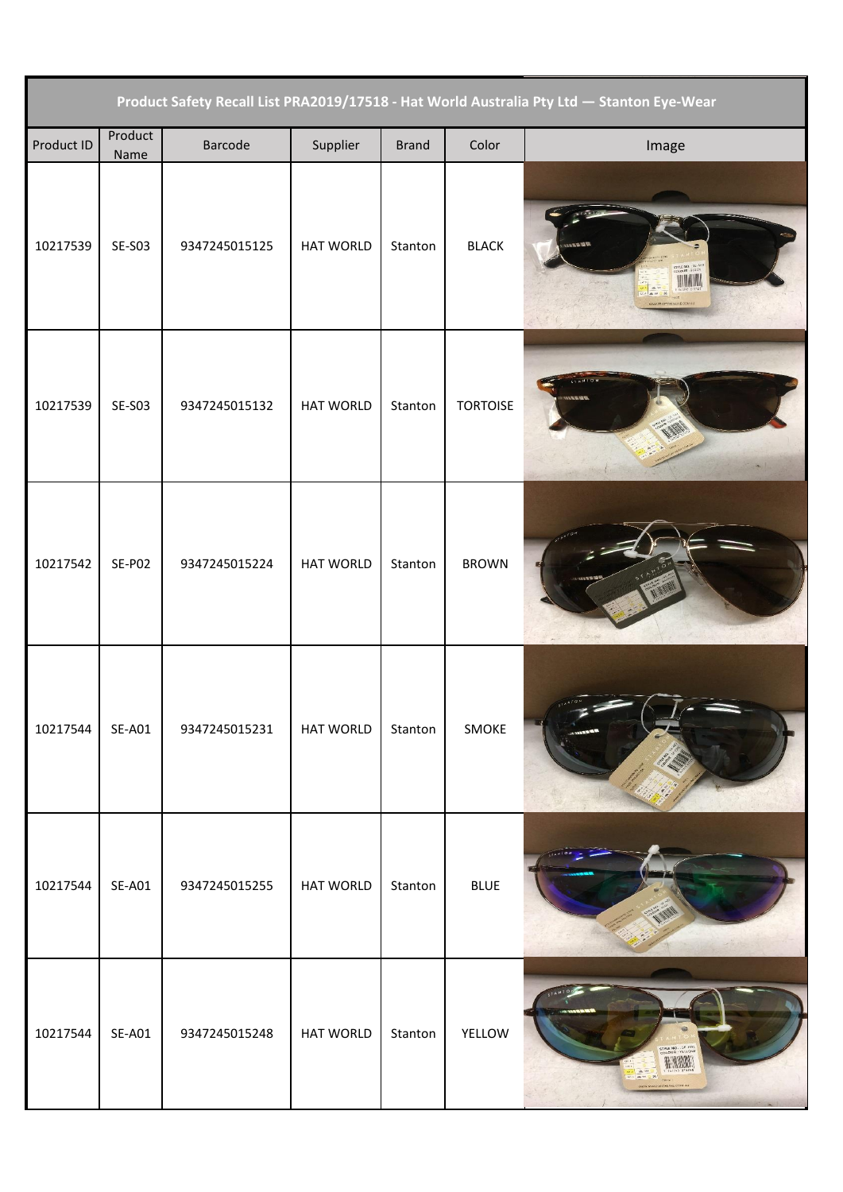| Product Safety Recall List PRA2019/17518 - Hat World Australia Pty Ltd - Stanton Eye-Wear |                 |               |                  |              |                 |                           |  |
|-------------------------------------------------------------------------------------------|-----------------|---------------|------------------|--------------|-----------------|---------------------------|--|
| Product ID                                                                                | Product<br>Name | Barcode       | Supplier         | <b>Brand</b> | Color           | Image                     |  |
| 10217539                                                                                  | <b>SE-S03</b>   | 9347245015125 | HAT WORLD        | Stanton      | <b>BLACK</b>    | TYLE NO.: 51-50<br>$  N$  |  |
| 10217539                                                                                  | <b>SE-S03</b>   | 9347245015132 | <b>HAT WORLD</b> | Stanton      | <b>TORTOISE</b> | <b>ATAMLE</b>             |  |
| 10217542                                                                                  | SE-PO2          | 9347245015224 | <b>HAT WORLD</b> | Stanton      | <b>BROWN</b>    |                           |  |
| 10217544                                                                                  | $SE-AO1$        | 9347245015231 | HAT WORLD        | Stanton      | SMOKE           |                           |  |
| 10217544                                                                                  | $SE-AO1$        | 9347245015255 | <b>HAT WORLD</b> | Stanton      | <b>BLUE</b>     |                           |  |
| 10217544                                                                                  | $SE-AO1$        | 9347245015248 | <b>HAT WORLD</b> | Stanton      | YELLOW          | COLOUR : YELLOW<br>H WANA |  |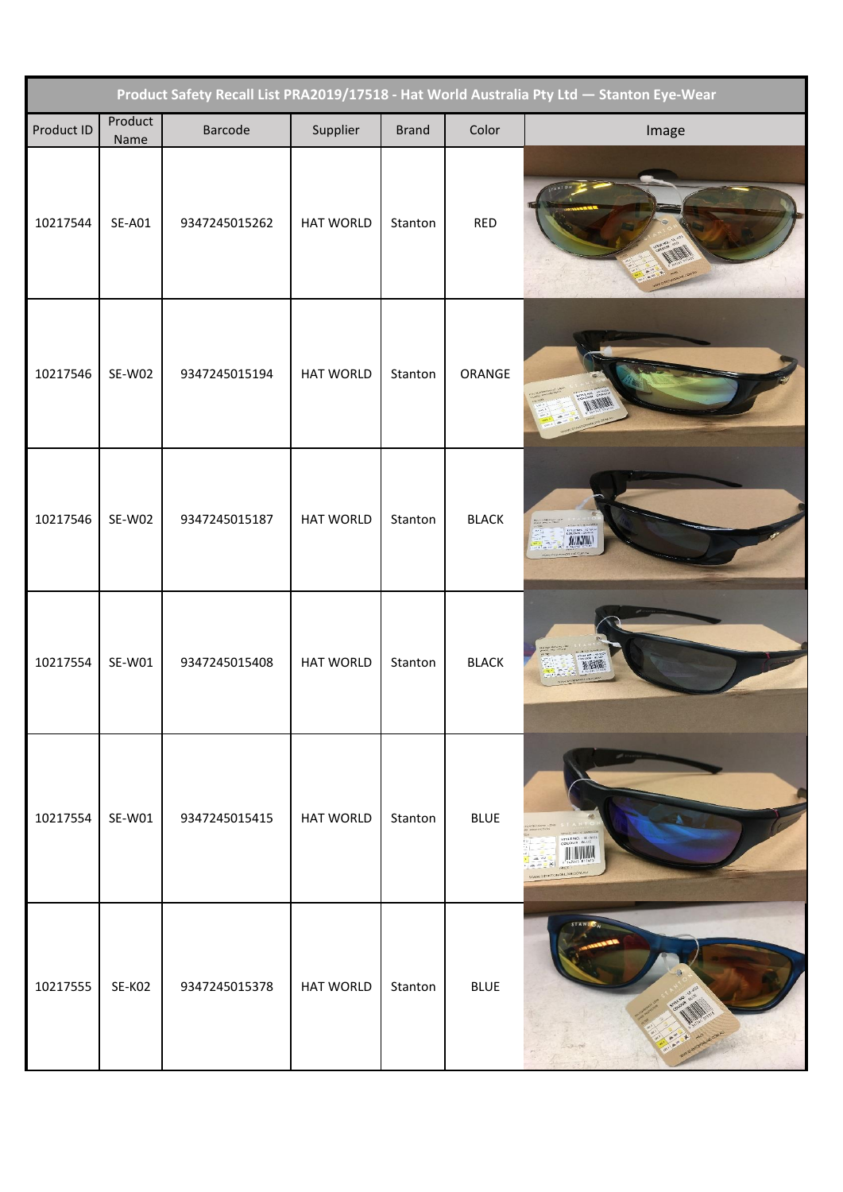| Product Safety Recall List PRA2019/17518 - Hat World Australia Pty Ltd - Stanton Eye-Wear |                 |               |                  |              |              |              |  |
|-------------------------------------------------------------------------------------------|-----------------|---------------|------------------|--------------|--------------|--------------|--|
| Product ID                                                                                | Product<br>Name | Barcode       | Supplier         | <b>Brand</b> | Color        | Image        |  |
| 10217544                                                                                  | <b>SE-A01</b>   | 9347245015262 | <b>HAT WORLD</b> | Stanton      | <b>RED</b>   |              |  |
| 10217546                                                                                  | SE-W02          | 9347245015194 | <b>HAT WORLD</b> | Stanton      | ORANGE       |              |  |
| 10217546                                                                                  | SE-W02          | 9347245015187 | <b>HAT WORLD</b> | Stanton      | <b>BLACK</b> | <b>ANNAN</b> |  |
| 10217554                                                                                  | SE-W01          | 9347245015408 | <b>HAT WORLD</b> | Stanton      | <b>BLACK</b> |              |  |
| 10217554                                                                                  | SE-W01          | 9347245015415 | <b>HAT WORLD</b> | Stanton      | <b>BLUE</b>  |              |  |
| 10217555                                                                                  | SE-KO2          | 9347245015378 | <b>HAT WORLD</b> | Stanton      | <b>BLUE</b>  |              |  |